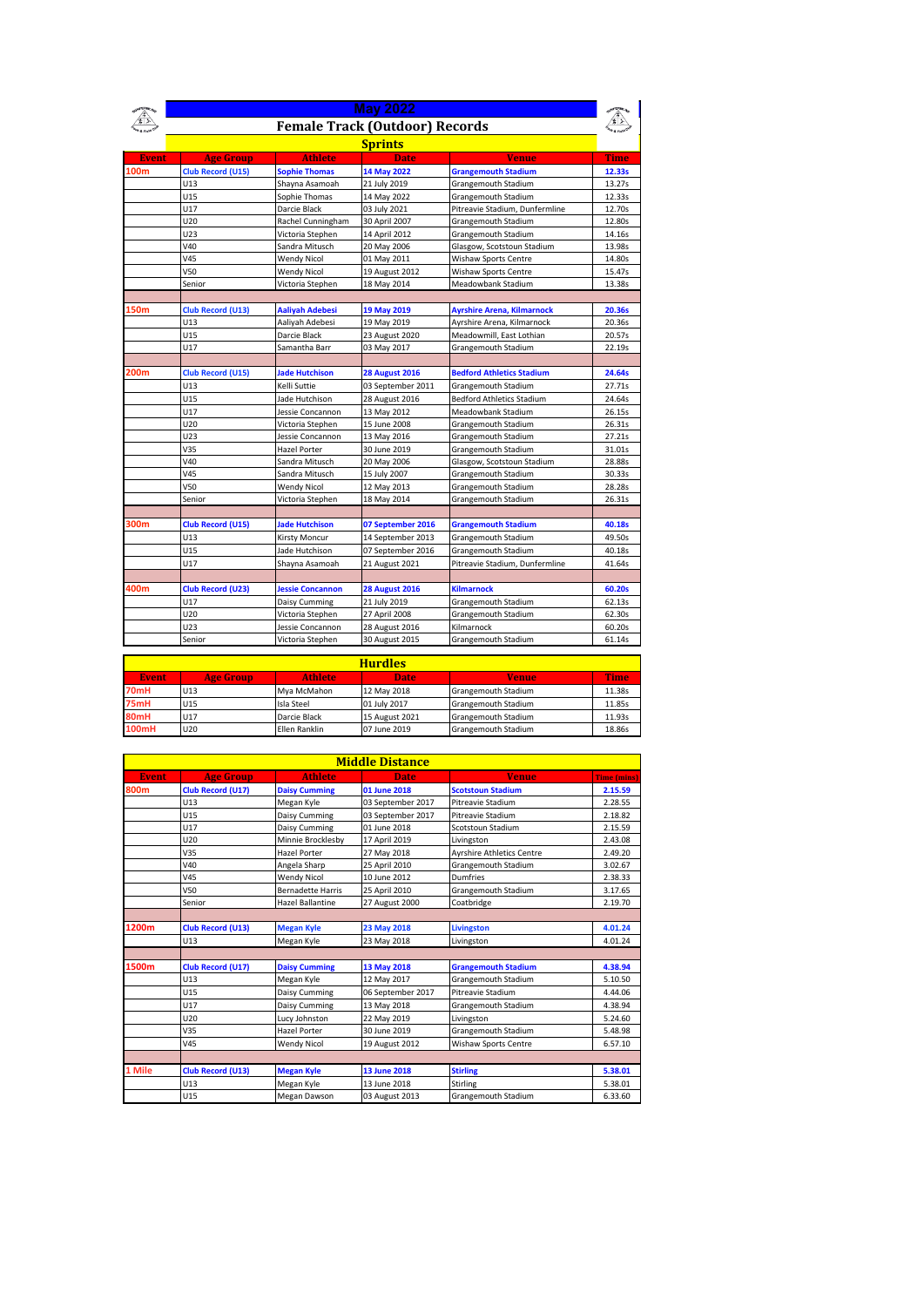|              | <b>May 2022</b>          |                         |                                       |                                   |        |  |
|--------------|--------------------------|-------------------------|---------------------------------------|-----------------------------------|--------|--|
|              |                          |                         | <b>Female Track (Outdoor) Records</b> |                                   |        |  |
|              | <b>Sprints</b>           |                         |                                       |                                   |        |  |
| <b>Event</b> | <b>Age Group</b>         | <b>Athlete</b>          | <b>Date</b>                           | <b>Venue</b>                      | Time   |  |
| 100m         | <b>Club Record (U15)</b> | <b>Sophie Thomas</b>    | 14 May 2022                           | <b>Grangemouth Stadium</b>        | 12.33s |  |
|              | U13                      | Shayna Asamoah          | 21 July 2019                          | Grangemouth Stadium               | 13.27s |  |
|              | U15                      | Sophie Thomas           | 14 May 2022                           | Grangemouth Stadium               | 12.33s |  |
|              | U17                      | Darcie Black            | 03 July 2021                          | Pitreavie Stadium, Dunfermline    | 12.70s |  |
|              | U20                      | Rachel Cunningham       | 30 April 2007                         | Grangemouth Stadium               | 12.80s |  |
|              | U23                      | Victoria Stephen        | 14 April 2012                         | Grangemouth Stadium               | 14.16s |  |
|              | V40                      | Sandra Mitusch          | 20 May 2006                           | Glasgow, Scotstoun Stadium        | 13.98s |  |
|              | V45                      | <b>Wendy Nicol</b>      | 01 May 2011                           | Wishaw Sports Centre              | 14.80s |  |
|              | V50                      | <b>Wendy Nicol</b>      | 19 August 2012                        | Wishaw Sports Centre              | 15.47s |  |
|              | Senior                   | Victoria Stephen        | 18 May 2014                           | Meadowbank Stadium                | 13.38s |  |
|              |                          |                         |                                       |                                   |        |  |
| 150m         | Club Record (U13)        | <b>Aaliyah Adebesi</b>  | 19 May 2019                           | <b>Ayrshire Arena, Kilmarnock</b> | 20.36s |  |
|              | U13                      | Aaliyah Adebesi         | 19 May 2019                           | Ayrshire Arena, Kilmarnock        | 20.36s |  |
|              | U15                      | Darcie Black            | 23 August 2020                        | Meadowmill, East Lothian          | 20.57s |  |
|              | U17                      | Samantha Barr           | 03 May 2017                           | Grangemouth Stadium               | 22.19s |  |
|              |                          |                         |                                       |                                   |        |  |
| 200m         | <b>Club Record (U15)</b> | <b>Jade Hutchison</b>   | <b>28 August 2016</b>                 | <b>Bedford Athletics Stadium</b>  | 24.64s |  |
|              | U13                      | Kelli Suttie            | 03 September 2011                     | Grangemouth Stadium               | 27.71s |  |
|              | U15                      | Jade Hutchison          | 28 August 2016                        | <b>Bedford Athletics Stadium</b>  | 24.64s |  |
|              | U17                      | Jessie Concannon        | 13 May 2012                           | Meadowbank Stadium                | 26.15s |  |
|              | U20                      | Victoria Stephen        | 15 June 2008                          | Grangemouth Stadium               | 26.31s |  |
|              | U23                      | Jessie Concannon        | 13 May 2016                           | Grangemouth Stadium               | 27.21s |  |
|              | V35                      | <b>Hazel Porter</b>     | 30 June 2019                          | Grangemouth Stadium               | 31.01s |  |
|              | V40                      | Sandra Mitusch          | 20 May 2006                           | Glasgow, Scotstoun Stadium        | 28.88s |  |
|              | V45                      | Sandra Mitusch          | 15 July 2007                          | Grangemouth Stadium               | 30.33s |  |
|              | V50                      | <b>Wendy Nicol</b>      | 12 May 2013                           | Grangemouth Stadium               | 28.28s |  |
|              | Senior                   | Victoria Stephen        | 18 May 2014                           | Grangemouth Stadium               | 26.31s |  |
|              |                          |                         |                                       |                                   |        |  |
| 300m         | <b>Club Record (U15)</b> | <b>Jade Hutchison</b>   | 07 September 2016                     | <b>Grangemouth Stadium</b>        | 40.18s |  |
|              | U13                      | Kirsty Moncur           | 14 September 2013                     | Grangemouth Stadium               | 49.50s |  |
|              | U15                      | Jade Hutchison          | 07 September 2016                     | Grangemouth Stadium               | 40.18s |  |
|              | U17                      | Shayna Asamoah          | 21 August 2021                        | Pitreavie Stadium, Dunfermline    | 41.64s |  |
|              |                          |                         |                                       |                                   |        |  |
| 400m         | Club Record (U23)        | <b>Jessie Concannon</b> | <b>28 August 2016</b>                 | <b>Kilmarnock</b>                 | 60.20s |  |
|              | U17                      | Daisy Cumming           | 21 July 2019                          | Grangemouth Stadium               | 62.13s |  |
|              | U20                      | Victoria Stephen        | 27 April 2008                         | Grangemouth Stadium               | 62.30s |  |
|              | U23                      | Jessie Concannon        | 28 August 2016                        | Kilmarnock                        | 60.20s |  |
|              | Senior                   | Victoria Stephen        | 30 August 2015                        | Grangemouth Stadium               | 61.14s |  |

| <b>Hurdles</b> |                  |                |                |                     |        |  |
|----------------|------------------|----------------|----------------|---------------------|--------|--|
| <b>Event</b>   | <b>Age Group</b> | <b>Athlete</b> | <b>Date</b>    | <b>Venue</b>        | Time   |  |
| 70mH           | U13              | Mya McMahon    | 12 May 2018    | Grangemouth Stadium | 11.38s |  |
| 75mH           | U <sub>15</sub>  | Isla Steel     | 01 July 2017   | Grangemouth Stadium | 11.85s |  |
| 80mH           | U17              | Darcie Black   | 15 August 2021 | Grangemouth Stadium | 11.93s |  |
| 100mH          | U20              | Ellen Ranklin  | 07 June 2019   | Grangemouth Stadium | 18.86s |  |

|              | <b>Middle Distance</b> |                          |                   |                                  |                    |  |  |  |
|--------------|------------------------|--------------------------|-------------------|----------------------------------|--------------------|--|--|--|
| <b>Event</b> | <b>Age Group</b>       | <b>Athlete</b>           | <b>Date</b>       | <b>Venue</b>                     | <b>Time (mins)</b> |  |  |  |
| 800m         | Club Record (U17)      | <b>Daisy Cumming</b>     | 01 June 2018      | <b>Scotstoun Stadium</b>         | 2.15.59            |  |  |  |
|              | U13                    | Megan Kyle               | 03 September 2017 | Pitreavie Stadium                | 2.28.55            |  |  |  |
|              | U15                    | Daisy Cumming            | 03 September 2017 | Pitreavie Stadium                | 2.18.82            |  |  |  |
|              | <b>U17</b>             | Daisy Cumming            | 01 June 2018      | Scotstoun Stadium                | 2.15.59            |  |  |  |
|              | U20                    | Minnie Brocklesby        | 17 April 2019     | Livingston                       | 2.43.08            |  |  |  |
|              | V35                    | Hazel Porter             | 27 May 2018       | <b>Avrshire Athletics Centre</b> | 2.49.20            |  |  |  |
|              | V40                    | Angela Sharp             | 25 April 2010     | Grangemouth Stadium              | 3.02.67            |  |  |  |
|              | V45                    | <b>Wendy Nicol</b>       | 10 June 2012      | Dumfries                         | 2.38.33            |  |  |  |
|              | V50                    | <b>Bernadette Harris</b> | 25 April 2010     | Grangemouth Stadium              | 3.17.65            |  |  |  |
|              | Senior                 | <b>Hazel Ballantine</b>  | 27 August 2000    | Coatbridge                       | 2.19.70            |  |  |  |
|              |                        |                          |                   |                                  |                    |  |  |  |
| 1200m        | Club Record (U13)      | <b>Megan Kyle</b>        | 23 May 2018       | <b>Livingston</b>                | 4.01.24            |  |  |  |
|              | U13                    | Megan Kyle               | 23 May 2018       | Livingston                       | 4.01.24            |  |  |  |
|              |                        |                          |                   |                                  |                    |  |  |  |
| 1500m        | Club Record (U17)      | <b>Daisy Cumming</b>     | 13 May 2018       | <b>Grangemouth Stadium</b>       | 4.38.94            |  |  |  |
|              | U13                    | Megan Kyle               | 12 May 2017       | Grangemouth Stadium              | 5.10.50            |  |  |  |
|              | U15                    | Daisy Cumming            | 06 September 2017 | Pitreavie Stadium                | 4.44.06            |  |  |  |
|              | U17                    | Daisy Cumming            | 13 May 2018       | Grangemouth Stadium              | 4.38.94            |  |  |  |
|              | U20                    | Lucy Johnston            | 22 May 2019       | Livingston                       | 5.24.60            |  |  |  |
|              | V35                    | Hazel Porter             | 30 June 2019      | Grangemouth Stadium              | 5.48.98            |  |  |  |
|              | <b>V45</b>             | <b>Wendy Nicol</b>       | 19 August 2012    | Wishaw Sports Centre             | 6.57.10            |  |  |  |
|              |                        |                          |                   |                                  |                    |  |  |  |
| 1 Mile       | Club Record (U13)      | <b>Megan Kyle</b>        | 13 June 2018      | <b>Stirling</b>                  | 5.38.01            |  |  |  |
|              | U13                    | Megan Kyle               | 13 June 2018      | Stirling                         | 5.38.01            |  |  |  |
|              | U15                    | Megan Dawson             | 03 August 2013    | Grangemouth Stadium              | 6.33.60            |  |  |  |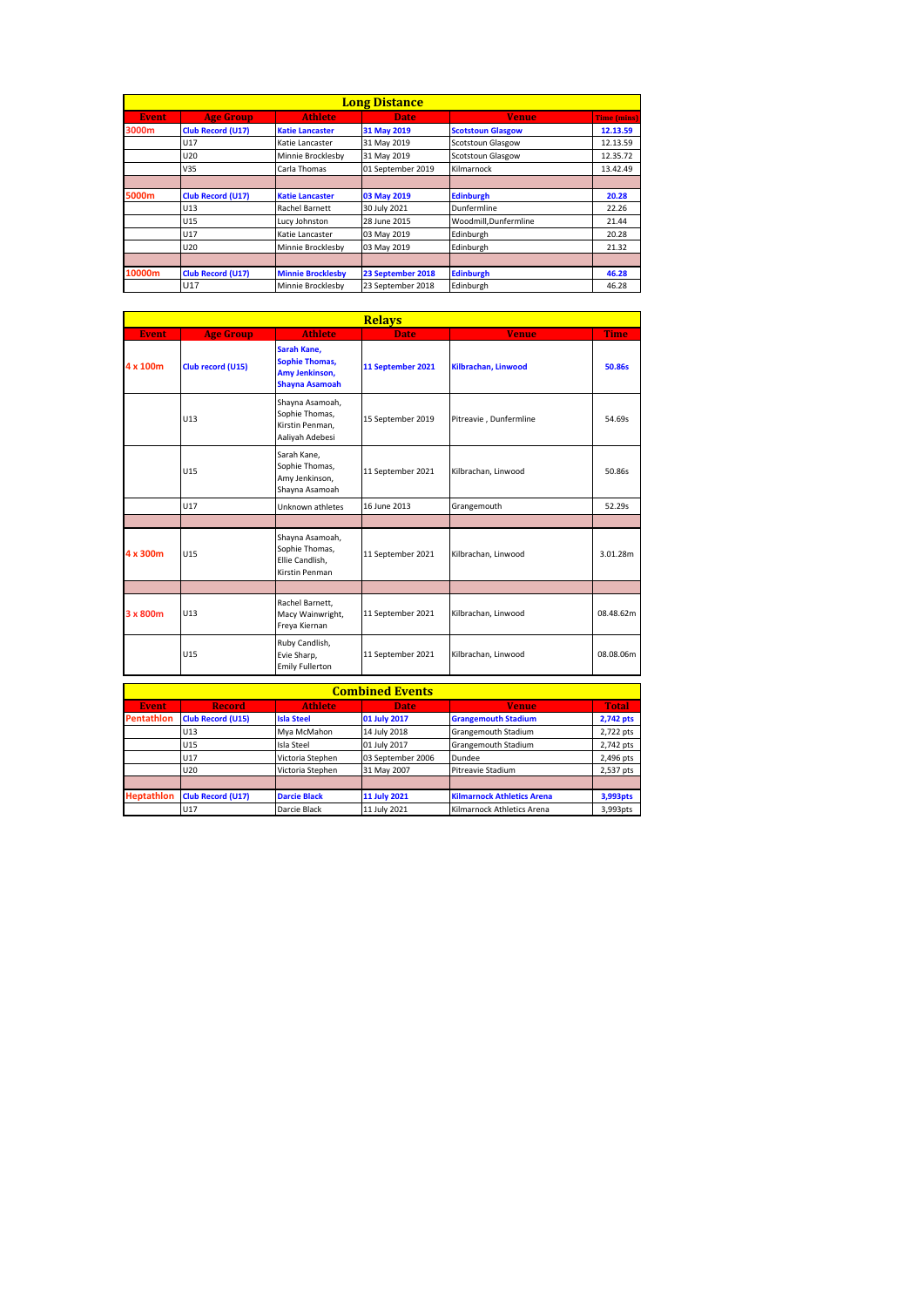|              | <b>Long Distance</b>     |                          |                   |                          |                    |  |  |  |
|--------------|--------------------------|--------------------------|-------------------|--------------------------|--------------------|--|--|--|
| <b>Event</b> | Age Group                | <b>Athlete</b>           | <b>Date</b>       | <b>Venue</b>             | <b>Time (mins)</b> |  |  |  |
| 3000m        | <b>Club Record (U17)</b> | <b>Katie Lancaster</b>   | 31 May 2019       | <b>Scotstoun Glasgow</b> | 12.13.59           |  |  |  |
|              | U17                      | Katie Lancaster          | 31 May 2019       | <b>Scotstoun Glasgow</b> | 12.13.59           |  |  |  |
|              | U20                      | Minnie Brocklesby        | 31 May 2019       | <b>Scotstoun Glasgow</b> | 12.35.72           |  |  |  |
|              | V35                      | Carla Thomas             | 01 September 2019 | Kilmarnock               | 13.42.49           |  |  |  |
|              |                          |                          |                   |                          |                    |  |  |  |
| 5000m        | <b>Club Record (U17)</b> | <b>Katie Lancaster</b>   | 03 May 2019       | <b>Edinburgh</b>         | 20.28              |  |  |  |
|              | U13                      | <b>Rachel Barnett</b>    | 30 July 2021      | Dunfermline              | 22.26              |  |  |  |
|              | U15                      | Lucy Johnston            | 28 June 2015      | Woodmill.Dunfermline     | 21.44              |  |  |  |
|              | U17                      | Katie Lancaster          | 03 May 2019       | Edinburgh                | 20.28              |  |  |  |
|              | U20                      | Minnie Brocklesby        | 03 May 2019       | Edinburgh                | 21.32              |  |  |  |
|              |                          |                          |                   |                          |                    |  |  |  |
| 10000m       | <b>Club Record (U17)</b> | <b>Minnie Brocklesby</b> | 23 September 2018 | <b>Edinburgh</b>         | 46.28              |  |  |  |
|              | U17                      | Minnie Brocklesby        | 23 September 2018 | Edinburgh                | 46.28              |  |  |  |

|              | <b>Relays</b>     |                                                                                 |                   |                        |             |  |  |
|--------------|-------------------|---------------------------------------------------------------------------------|-------------------|------------------------|-------------|--|--|
| <b>Event</b> | <b>Age Group</b>  | <b>Athlete</b>                                                                  | <b>Date</b>       | <b>Venue</b>           | <b>Time</b> |  |  |
| 4 x 100m     | Club record (U15) | Sarah Kane,<br><b>Sophie Thomas,</b><br>Amy Jenkinson,<br><b>Shayna Asamoah</b> | 11 September 2021 | Kilbrachan, Linwood    | 50.86s      |  |  |
|              | U13               | Shayna Asamoah,<br>Sophie Thomas,<br>Kirstin Penman,<br>Aaliyah Adebesi         | 15 September 2019 | Pitreavie, Dunfermline | 54.69s      |  |  |
|              | U <sub>15</sub>   | Sarah Kane.<br>Sophie Thomas,<br>Amy Jenkinson,<br>Shayna Asamoah               | 11 September 2021 | Kilbrachan, Linwood    | 50.86s      |  |  |
|              | U17               | Unknown athletes                                                                | 16 June 2013      | Grangemouth            | 52.29s      |  |  |
|              |                   |                                                                                 |                   |                        |             |  |  |
| 4 x 300m     | U <sub>15</sub>   | Shayna Asamoah,<br>Sophie Thomas,<br>Ellie Candlish,<br>Kirstin Penman          | 11 September 2021 | Kilbrachan, Linwood    | 3.01.28m    |  |  |
|              |                   |                                                                                 |                   |                        |             |  |  |
| 3 x 800m     | U13               | Rachel Barnett,<br>Macy Wainwright,<br>Freya Kiernan                            | 11 September 2021 | Kilbrachan, Linwood    | 08.48.62m   |  |  |
|              | U15               | Ruby Candlish,<br>Evie Sharp,<br><b>Emily Fullerton</b>                         | 11 September 2021 | Kilbrachan, Linwood    | 08.08.06m   |  |  |

| <b>Combined Events</b> |                          |                     |                   |                                   |              |  |  |
|------------------------|--------------------------|---------------------|-------------------|-----------------------------------|--------------|--|--|
| <b>Event</b>           | <b>Record</b>            | <b>Athlete</b>      | <b>Date</b>       | <b>Venue</b>                      | <b>Total</b> |  |  |
| <b>Pentathlon</b>      | <b>Club Record (U15)</b> | <b>Isla Steel</b>   | 01 July 2017      | <b>Grangemouth Stadium</b>        | 2,742 pts    |  |  |
|                        | U <sub>13</sub>          | Mva McMahon         | 14 July 2018      | Grangemouth Stadium               | 2,722 pts    |  |  |
|                        | U15                      | Isla Steel          | 01 July 2017      | Grangemouth Stadium               | 2,742 pts    |  |  |
|                        | U17                      | Victoria Stephen    | 03 September 2006 | Dundee                            | 2,496 pts    |  |  |
|                        | U20                      | Victoria Stephen    | 31 May 2007       | Pitreavie Stadium                 | 2,537 pts    |  |  |
|                        |                          |                     |                   |                                   |              |  |  |
| <b>Heptathlon</b>      | <b>Club Record (U17)</b> | <b>Darcie Black</b> | 11 July 2021      | <b>Kilmarnock Athletics Arena</b> | 3,993pts     |  |  |
|                        | U17                      | Darcie Black        | 11 July 2021      | Kilmarnock Athletics Arena        | 3,993pts     |  |  |